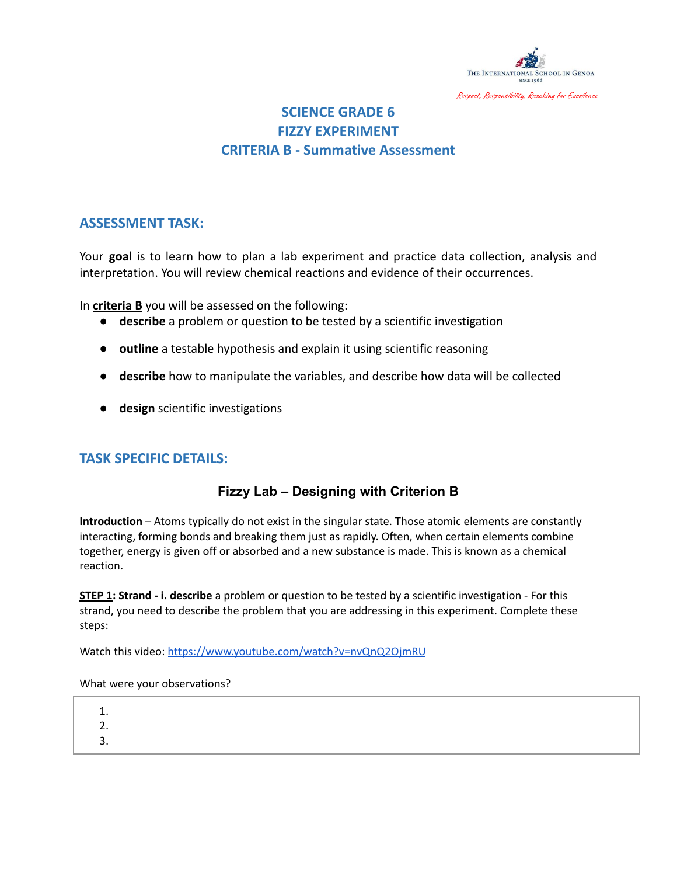

# **SCIENCE GRADE 6 FIZZY EXPERIMENT CRITERIA B - Summative Assessment**

### **ASSESSMENT TASK:**

Your **goal** is to learn how to plan a lab experiment and practice data collection, analysis and interpretation. You will review chemical reactions and evidence of their occurrences.

In **criteria B** you will be assessed on the following:

- **describe** a problem or question to be tested by a scientific investigation
- **outline** a testable hypothesis and explain it using scientific reasoning
- **describe** how to manipulate the variables, and describe how data will be collected
- **design** scientific investigations

### **TASK SPECIFIC DETAILS:**

### **Fizzy Lab – Designing with Criterion B**

**Introduction** – Atoms typically do not exist in the singular state. Those atomic elements are constantly interacting, forming bonds and breaking them just as rapidly. Often, when certain elements combine together, energy is given off or absorbed and a new substance is made. This is known as a chemical reaction.

**STEP 1: Strand - i. describe** a problem or question to be tested by a scientific investigation - For this strand, you need to describe the problem that you are addressing in this experiment. Complete these steps:

Watch this video: <https://www.youtube.com/watch?v=nvQnQ2OjmRU>

#### What were your observations?

- 1.
- 2.
- 3.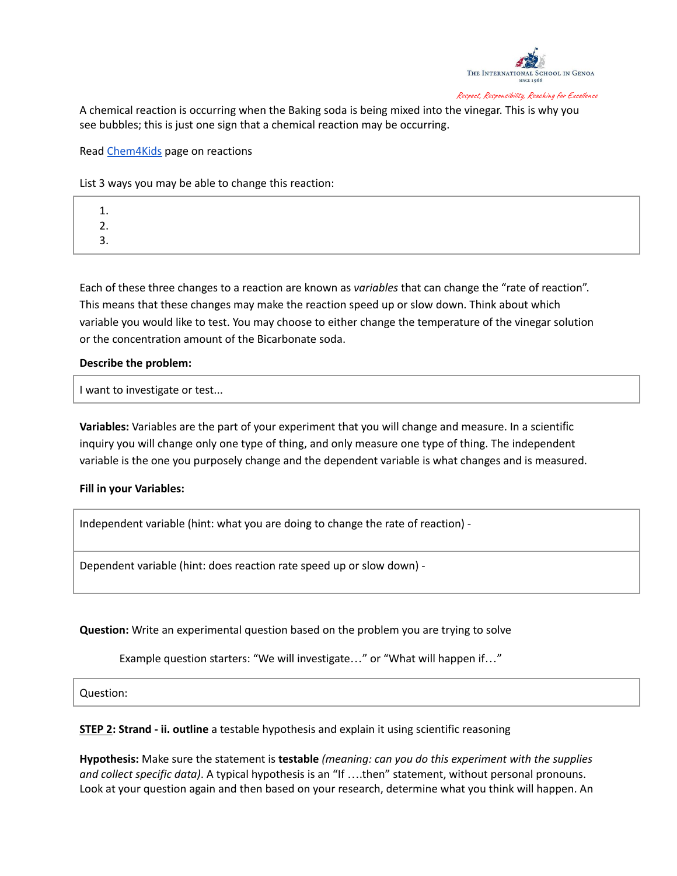

A chemical reaction is occurring when the Baking soda is being mixed into the vinegar. This is why you see bubbles; this is just one sign that a chemical reaction may be occurring.

Read [Chem4Kids](http://www.chem4kids.com/files/react_rates.html) page on reactions

List 3 ways you may be able to change this reaction:

1. 2. 3.

Each of these three changes to a reaction are known as *variables* that can change the "rate of reaction". This means that these changes may make the reaction speed up or slow down. Think about which variable you would like to test. You may choose to either change the temperature of the vinegar solution or the concentration amount of the Bicarbonate soda.

#### **Describe the problem:**

I want to investigate or test...

**Variables:** Variables are the part of your experiment that you will change and measure. In a scientific inquiry you will change only one type of thing, and only measure one type of thing. The independent variable is the one you purposely change and the dependent variable is what changes and is measured.

#### **Fill in your Variables:**

Independent variable (hint: what you are doing to change the rate of reaction) -

Dependent variable (hint: does reaction rate speed up or slow down) -

**Question:** Write an experimental question based on the problem you are trying to solve

Example question starters: "We will investigate…" or "What will happen if…"

Question:

**STEP 2: Strand - ii. outline** a testable hypothesis and explain it using scientific reasoning

**Hypothesis:** Make sure the statement is **testable** *(meaning: can you do this experiment with the supplies and collect specific data)*. A typical hypothesis is an "If ….then" statement, without personal pronouns. Look at your question again and then based on your research, determine what you think will happen. An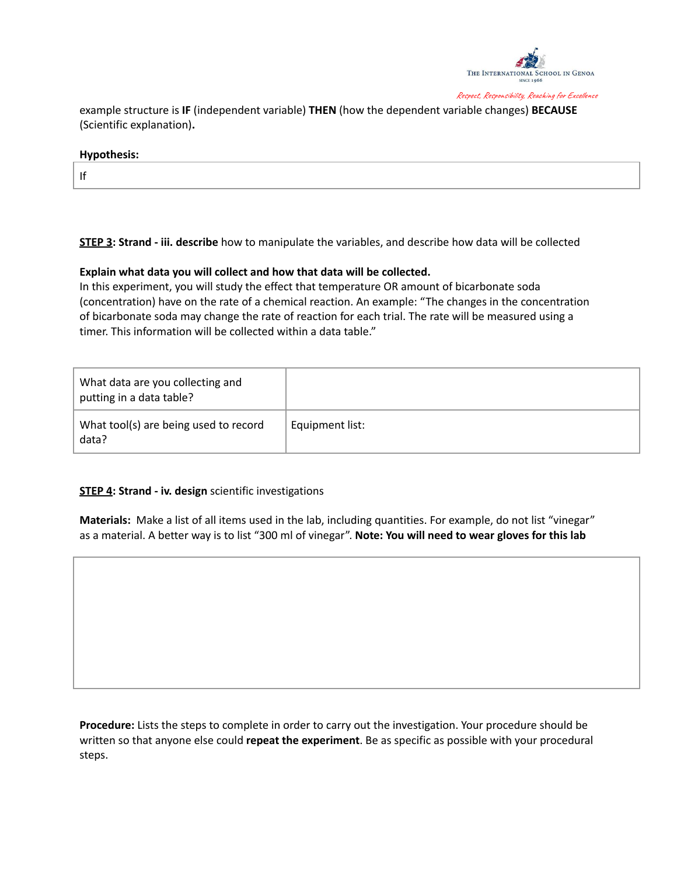

example structure is **IF** (independent variable) **THEN** (how the dependent variable changes) **BECAUSE** (Scientific explanation)**.**

#### **Hypothesis:**

If

**STEP 3: Strand - iii. describe** how to manipulate the variables, and describe how data will be collected

#### **Explain what data you will collect and how that data will be collected.**

In this experiment, you will study the effect that temperature OR amount of bicarbonate soda (concentration) have on the rate of a chemical reaction. An example: "The changes in the concentration of bicarbonate soda may change the rate of reaction for each trial. The rate will be measured using a timer. This information will be collected within a data table."

| What data are you collecting and<br>putting in a data table? |                 |
|--------------------------------------------------------------|-----------------|
| What tool(s) are being used to record<br>data?               | Equipment list: |

#### **STEP 4: Strand - iv. design** scientific investigations

**Materials:** Make a list of all items used in the lab, including quantities. For example, do not list "vinegar" as a material. A better way is to list "300 ml of vinegar". **Note: You will need to wear gloves for this lab**

**Procedure:** Lists the steps to complete in order to carry out the investigation. Your procedure should be written so that anyone else could **repeat the experiment**. Be as specific as possible with your procedural steps.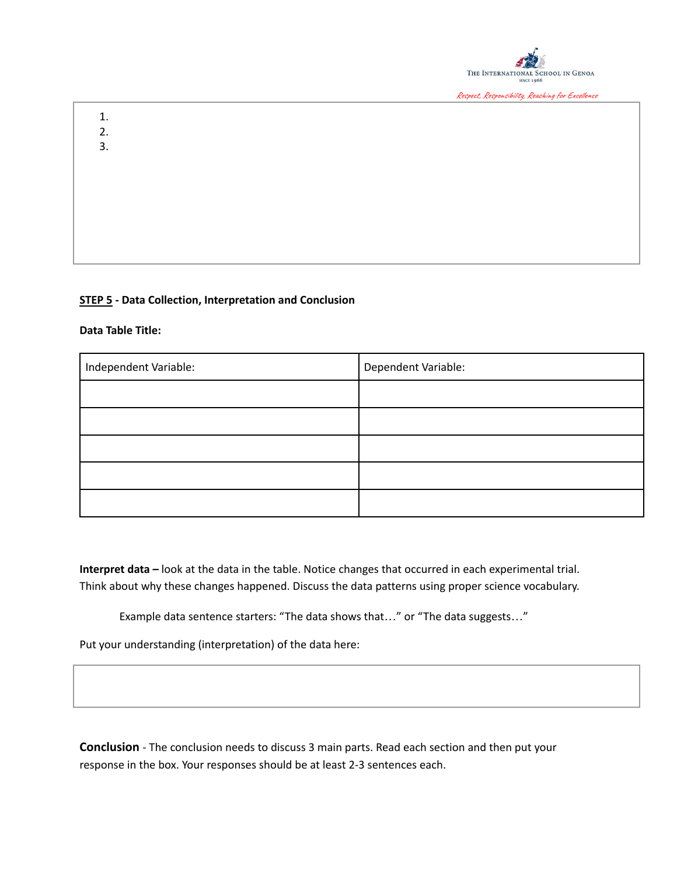

1. 2.

3.

### **STEP 5 - Data Collection, Interpretation and Conclusion**

#### **Data Table Title:**

| Independent Variable: | Dependent Variable: |  |
|-----------------------|---------------------|--|
|                       |                     |  |
|                       |                     |  |
|                       |                     |  |
|                       |                     |  |
|                       |                     |  |

**Interpret data –** look at the data in the table. Notice changes that occurred in each experimental trial. Think about why these changes happened. Discuss the data patterns using proper science vocabulary.

Example data sentence starters: "The data shows that…" or "The data suggests…"

Put your understanding (interpretation) of the data here:

**Conclusion** - The conclusion needs to discuss 3 main parts. Read each section and then put your response in the box. Your responses should be at least 2-3 sentences each.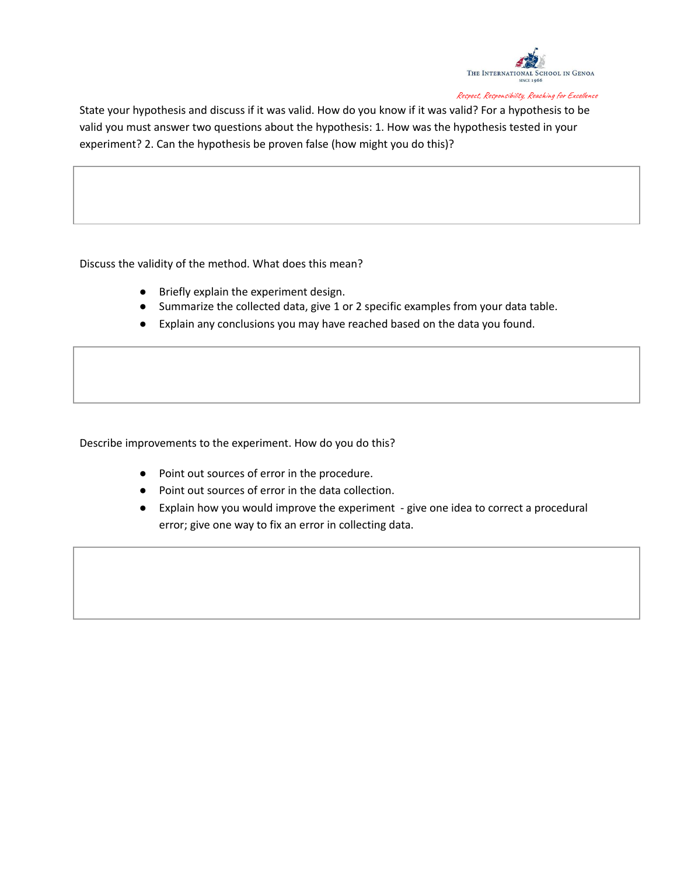

State your hypothesis and discuss if it was valid. How do you know if it was valid? For a hypothesis to be valid you must answer two questions about the hypothesis: 1. How was the hypothesis tested in your experiment? 2. Can the hypothesis be proven false (how might you do this)?

Discuss the validity of the method. What does this mean?

- Briefly explain the experiment design.
- Summarize the collected data, give 1 or 2 specific examples from your data table.
- Explain any conclusions you may have reached based on the data you found.

Describe improvements to the experiment. How do you do this?

- Point out sources of error in the procedure.
- Point out sources of error in the data collection.
- Explain how you would improve the experiment give one idea to correct a procedural error; give one way to fix an error in collecting data.